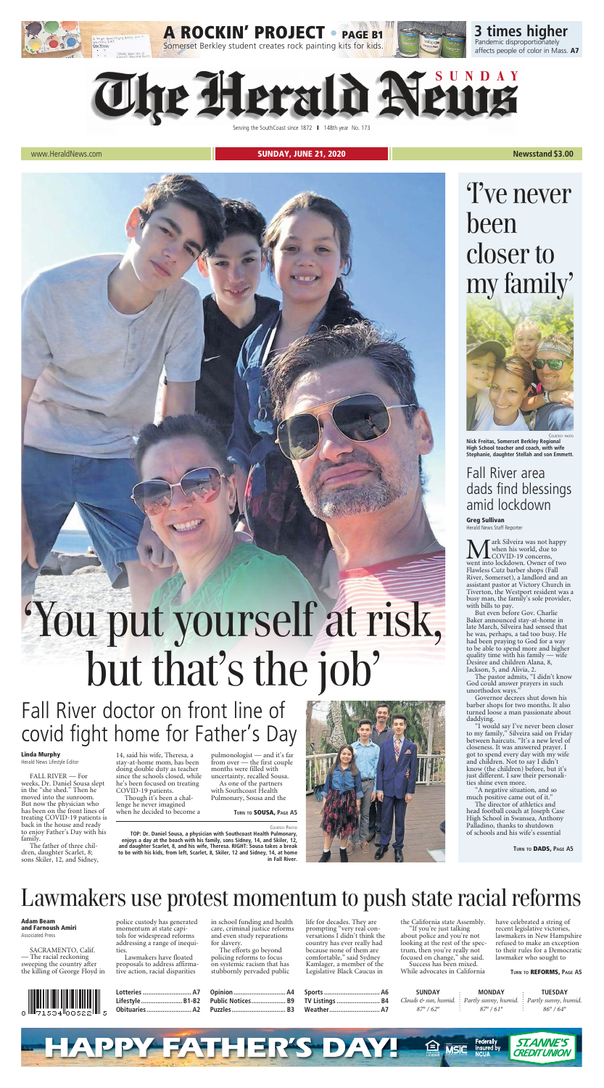

Serving the SouthCoast since 1872 | 148th year No. 173

www.HeraldNews.com **Newsstand \$3.00** 

|             | otteries     | ΔД |                        | MONDA'                                                                                                    |                   |
|-------------|--------------|----|------------------------|-----------------------------------------------------------------------------------------------------------|-------------------|
|             | B1-B2        | R9 | B4<br>TV.<br>Listings. | Clouds $\mathfrak{S}$ sun, humid. $\blacksquare$ Partly sunny, humid. $\blacksquare$ Partly sunny, humid. |                   |
| $\parallel$ | ()hitilarias |    |                        |                                                                                                           | $O \subset \circ$ |



### Linda Murphy

Herald News Lifestyle Editor

FALL RIVER — For weeks, Dr. Daniel Sousa slept in the "she shed." Then he moved into the sunroom. But now the physician who has been on the front lines of treating COVID-19 patients is back in the house and ready to enjoy Father's Day with his family.

The father of three children, daughter Scarlet, 8; sons Skiler, 12, and Sidney, 14, said his wife, Theresa, a stay-at-home mom, has been doing double duty as teacher since the schools closed, while he's been focused on treating COVID-19 patients.

Though it's been a challenge he never imagined when he decided to become a **M** ark Silveira was not happy<br>when his world, due to<br>went into lockdown. Owner of two ark Silveira was not happy when his world, due to COVID-19 concerns, Flawless Cutz barber shops (Fall River, Somerset), a landlord and an assistant pastor at Victory Church in Tiverton, the Westport resident was a busy man, the family's sole provider, with bills to pay.

pulmonologist — and it's far from over — the first couple months were filled with uncertainty, recalled Sousa.

As one of the partners with Southcoast Health Pulmonary, Sousa and the

## Fall River doctor on front line of covid fight home for Father's Day



# but that's the job'

COURTESY PHOTOS

**TOP: Dr. Daniel Sousa, a physician with Southcoast Health Pulmonary, enjoys a day at the beach with his family, sons Sidney, 14, and Skiler, 12, and daughter Scarlet, 8, and his wife, Theresa. RIGHT: Sousa takes a break to be with his kids, from left, Scarlet, 8, Skiler, 12 and Sidney, 14, at home in Fall River.**



COURTESY PHOTO

**Nick Freitas, Somerset Berkley Regional High School teacher and coach, with wife Stephanie, daughter Stellah and son Emmett.**

# 'I've never been closer to my family'



Fall River area dads find blessings amid lockdown

Greg Sullivan Herald News Staff Reporter

But even before Gov. Charlie Baker announced stay-at-home in late March, Silveira had sensed that he was, perhaps, a tad too busy. He had been praying to God for a way to be able to spend more and higher quality time with his family — wife Desiree and children Alana, 8, Jackson, 5, and Alivia, 2. The pastor admits, "I didn't know God could answer prayers in such unorthodox ways." Governor decrees shut down his barber shops for two months. It also turned loose a man passionate about daddying. "I would say I've never been closer to my family," Silveira said on Friday between haircuts. "It's a new level of closeness. It was answered prayer. I got to spend every day with my wife and children. Not to say I didn't know (the children) before, but it's just different. I saw their personalities shine even more. "A negative situation, and so much positive came out of it." The director of athletics and head football coach at Joseph Case High School in Swansea, Anthony Palladino, thanks to shutdown of schools and his wife's essential

Adam Beam and Farnoush Amiri Associated Press

SACRAMENTO, Calif. — The racial reckoning sweeping the country after the killing of George Floyd in



police custody has generated momentum at state capitols for widespread reforms addressing a range of inequities.

Lawmakers have floated proposals to address affirmative action, racial disparities

in school funding and health care, criminal justice reforms and even study reparations for slavery.

The efforts go beyond policing reforms to focus on systemic racism that has stubbornly pervaded public

life for decades. They are prompting "very real conversations I didn't think the country has ever really had because none of them are comfortable," said Sydney Kamlager, a member of the Legislative Black Caucus in

the California state Assembly.

"If you're just talking about police and you're not looking at the rest of the spectrum, then you're really not focused on change," she said. Success has been mixed. While advocates in California

have celebrated a string of recent legislative victories, lawmakers in New Hampshire refused to make an exception to their rules for a Democratic lawmaker who sought to

# Lawmakers use protest momentum to push state racial reforms



**TURN TO** REFORMS, **PAGE A5**

**TURN TO** SOUSA, **PAGE A5**

**TURN TO** DADS, **PAGE A5**